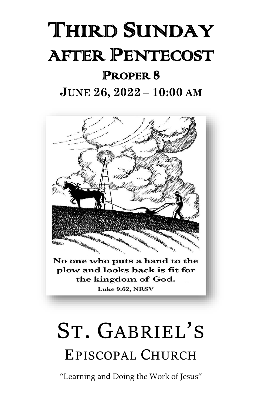## THIRD SUNDAY AFTER PENTECOST PROPER 8 **JUNE 26, 2022 – 10:00 AM**



Luke 9:62, NRSV

# **ST. GABRIEL'S EPISCOPAL CHURCH**

"Learning and Doing the Work of Jesus"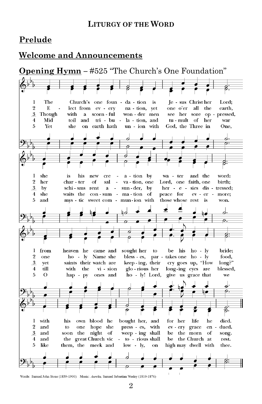#### **LITURGY OF THE WORD**

#### **Prelude**

#### **Welcome and Announcements**



Words: Samuel John Stone (1839-1900) Music: Aurelia, Samuel Sebastian Wesley (1810-1876)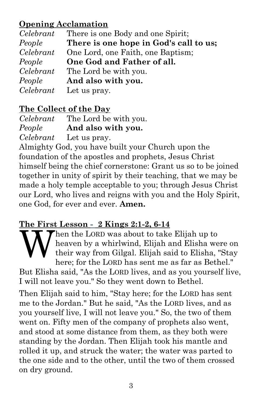## **Opening Acclamation**

| Celebrant | There is one Body and one Spirit;      |
|-----------|----------------------------------------|
| People    | There is one hope in God's call to us; |
| Celebrant | One Lord, one Faith, one Baptism;      |
| People    | One God and Father of all.             |
| Celebrant | The Lord be with you.                  |
| People    | And also with you.                     |
| Celebrant | Let us pray.                           |

#### **The Collect of the Day**

*Celebrant* The Lord be with you. *People* **And also with you.**  *Celebrant* Let us pray.

Almighty God, you have built your Church upon the foundation of the apostles and prophets, Jesus Christ himself being the chief cornerstone: Grant us so to be joined together in unity of spirit by their teaching, that we may be made a holy temple acceptable to you; through Jesus Christ our Lord, who lives and reigns with you and the Holy Spirit, one God, for ever and ever. **Amen.**

#### **The First Lesson - 2 Kings 2:1-2, 6-14**

hen the LORD was about to take Elijah up to heaven by a whirlwind, Elijah and Elisha were on their way from Gilgal. Elijah said to Elisha, "Stay here; for the LORD has sent me as far as Bethel." But Elisha said, "As the LORD lives, and as you yourself live, I will not leave you." So they went down to Bethel.  $\overline{\text{W}}$ 

Then Elijah said to him, "Stay here; for the LORD has sent me to the Jordan." But he said, "As the LORD lives, and as you yourself live, I will not leave you." So, the two of them went on. Fifty men of the company of prophets also went, and stood at some distance from them, as they both were standing by the Jordan. Then Elijah took his mantle and rolled it up, and struck the water; the water was parted to the one side and to the other, until the two of them crossed on dry ground.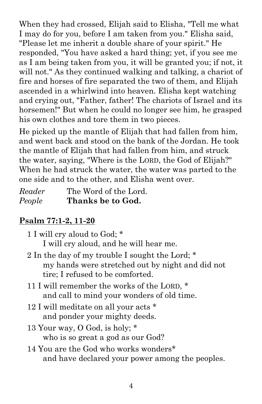When they had crossed, Elijah said to Elisha, "Tell me what I may do for you, before I am taken from you." Elisha said, "Please let me inherit a double share of your spirit." He responded, "You have asked a hard thing; yet, if you see me as I am being taken from you, it will be granted you; if not, it will not." As they continued walking and talking, a chariot of fire and horses of fire separated the two of them, and Elijah ascended in a whirlwind into heaven. Elisha kept watching and crying out, "Father, father! The chariots of Israel and its horsemen!" But when he could no longer see him, he grasped his own clothes and tore them in two pieces.

He picked up the mantle of Elijah that had fallen from him, and went back and stood on the bank of the Jordan. He took the mantle of Elijah that had fallen from him, and struck the water, saying, "Where is the LORD, the God of Elijah?" When he had struck the water, the water was parted to the one side and to the other, and Elisha went over.

| Reader | The Word of the Lord. |
|--------|-----------------------|
| People | Thanks be to God.     |

## **Psalm 77:1-2, 11-20**

1 I will cry aloud to God; \* I will cry aloud, and he will hear me. 2 In the day of my trouble I sought the Lord; \* my hands were stretched out by night and did not tire; I refused to be comforted. 11 I will remember the works of the LORD, \* and call to mind your wonders of old time. 12 I will meditate on all your acts \* and ponder your mighty deeds. 13 Your way, O God, is holy; \*

who is so great a god as our God? 14 You are the God who works wonders\*

and have declared your power among the peoples.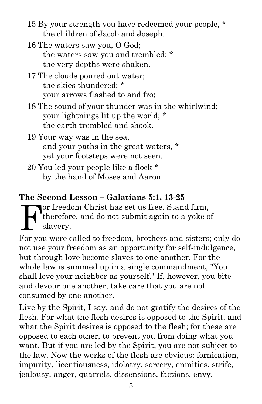- 15 By your strength you have redeemed your people, \* the children of Jacob and Joseph.
- 16 The waters saw you, O God; the waters saw you and trembled; \* the very depths were shaken.
- 17 The clouds poured out water; the skies thundered; \* your arrows flashed to and fro;
- 18 The sound of your thunder was in the whirlwind; your lightnings lit up the world; \* the earth trembled and shook.
- 19 Your way was in the sea, and your paths in the great waters, \* yet your footsteps were not seen.
- 20 You led your people like a flock \* by the hand of Moses and Aaron.

## **The Second Lesson – Galatians 5:1, 13-25**

or freedom Christ has set us free. Stand firm, therefore, and do not submit again to a yoke of slavery. F

For you were called to freedom, brothers and sisters; only do not use your freedom as an opportunity for self-indulgence, but through love become slaves to one another. For the whole law is summed up in a single commandment, "You shall love your neighbor as yourself." If, however, you bite and devour one another, take care that you are not consumed by one another.

Live by the Spirit, I say, and do not gratify the desires of the flesh. For what the flesh desires is opposed to the Spirit, and what the Spirit desires is opposed to the flesh; for these are opposed to each other, to prevent you from doing what you want. But if you are led by the Spirit, you are not subject to the law. Now the works of the flesh are obvious: fornication, impurity, licentiousness, idolatry, sorcery, enmities, strife, jealousy, anger, quarrels, dissensions, factions, envy,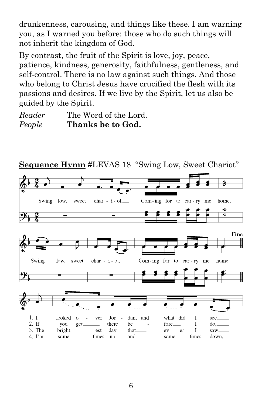drunkenness, carousing, and things like these. I am warning you, as I warned you before: those who do such things will not inherit the kingdom of God.

By contrast, the fruit of the Spirit is love, joy, peace, patience, kindness, generosity, faithfulness, gentleness, and self-control. There is no law against such things. And those who belong to Christ Jesus have crucified the flesh with its passions and desires. If we live by the Spirit, let us also be guided by the Spirit.

*Reader* The Word of the Lord. *People* **Thanks be to God.**



**Sequence Hymn** #LEVAS 18 "Swing Low, Sweet Chariot"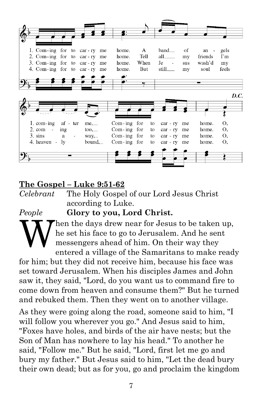

#### **The Gospel – Luke 9:51-62**

*Celebrant* The Holy Gospel of our Lord Jesus Christ according to Luke.

#### *People* **Glory to you, Lord Christ.**

hen the days drew near for Jesus to be taken up, he set his face to go to Jerusalem. And he sent messengers ahead of him. On their way they entered a village of the Samaritans to make ready W

for him; but they did not receive him, because his face was set toward Jerusalem. When his disciples James and John saw it, they said, "Lord, do you want us to command fire to come down from heaven and consume them?" But he turned and rebuked them. Then they went on to another village.

As they were going along the road, someone said to him, "I will follow you wherever you go." And Jesus said to him, "Foxes have holes, and birds of the air have nests; but the Son of Man has nowhere to lay his head." To another he said, "Follow me." But he said, "Lord, first let me go and bury my father." But Jesus said to him, "Let the dead bury their own dead; but as for you, go and proclaim the kingdom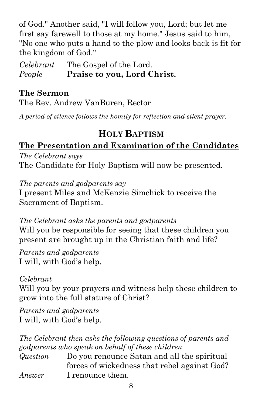of God." Another said, "I will follow you, Lord; but let me first say farewell to those at my home." Jesus said to him, "No one who puts a hand to the plow and looks back is fit for the kingdom of God."

*Celebrant* The Gospel of the Lord. *People* **Praise to you, Lord Christ.**

#### **The Sermon**

The Rev. Andrew VanBuren, Rector

*A period of silence follows the homily for reflection and silent prayer.*

## **HOLY BAPTISM**

## **The Presentation and Examination of the Candidates**

*The Celebrant says* The Candidate for Holy Baptism will now be presented.

*The parents and godparents say* I present Miles and McKenzie Simchick to receive the Sacrament of Baptism.

*The Celebrant asks the parents and godparents* Will you be responsible for seeing that these children you present are brought up in the Christian faith and life?

*Parents and godparents* I will, with God's help.

#### *Celebrant*

Will you by your prayers and witness help these children to grow into the full stature of Christ?

*Parents and godparents* I will, with God's help.

*The Celebrant then asks the following questions of parents and godparents who speak on behalf of these children*

| <i><u><b>Question</b></u></i> | Do you renounce Satan and all the spiritual  |
|-------------------------------|----------------------------------------------|
|                               | forces of wickedness that rebel against God? |
| Answer                        | I renounce them.                             |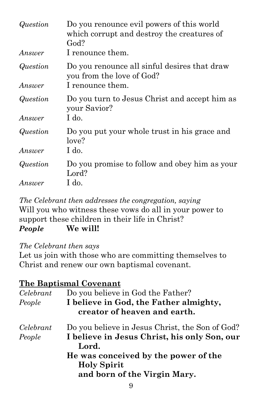| <i><u>Question</u></i><br>Answer | Do you renounce evil powers of this world<br>which corrupt and destroy the creatures of<br>God?<br>I renounce them. |
|----------------------------------|---------------------------------------------------------------------------------------------------------------------|
|                                  |                                                                                                                     |
| <i><u>Question</u></i>           | Do you renounce all sinful desires that draw<br>you from the love of God?                                           |
| Answer                           | I renounce them.                                                                                                    |
|                                  |                                                                                                                     |
| <i><u><b>Question</b></u></i>    | Do you turn to Jesus Christ and accept him as<br>your Savior?                                                       |
| Answer                           | I do.                                                                                                               |
| <i><u><b>Question</b></u></i>    | Do you put your whole trust in his grace and<br>love?                                                               |
| Answer                           | I do.                                                                                                               |
| <i><u>Question</u></i>           | Do you promise to follow and obey him as your                                                                       |
|                                  | Lord?                                                                                                               |
| Answer                           | I do.                                                                                                               |

*The Celebrant then addresses the congregation, saying* Will you who witness these vows do all in your power to support these children in their life in Christ? *People* **We will!**

#### *The Celebrant then says*

Let us join with those who are committing themselves to Christ and renew our own baptismal covenant.

#### **The Baptismal Covenant**

| Celebrant<br>People | Do you believe in God the Father?<br>I believe in God, the Father almighty,<br>creator of heaven and earth.                                                                                            |
|---------------------|--------------------------------------------------------------------------------------------------------------------------------------------------------------------------------------------------------|
| Celebrant<br>People | Do you believe in Jesus Christ, the Son of God?<br>I believe in Jesus Christ, his only Son, our<br>Lord.<br>He was conceived by the power of the<br><b>Holy Spirit</b><br>and born of the Virgin Mary. |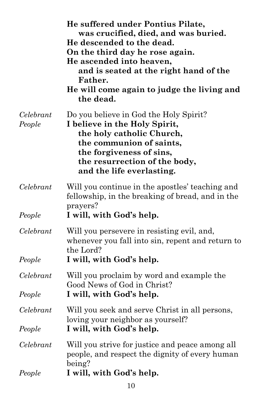|                     | He suffered under Pontius Pilate,<br>was crucified, died, and was buried.<br>He descended to the dead.<br>On the third day he rose again.<br>He ascended into heaven,<br>and is seated at the right hand of the<br>Father.<br>He will come again to judge the living and<br>the dead. |
|---------------------|---------------------------------------------------------------------------------------------------------------------------------------------------------------------------------------------------------------------------------------------------------------------------------------|
| Celebrant<br>People | Do you believe in God the Holy Spirit?<br>I believe in the Holy Spirit,<br>the holy catholic Church,<br>the communion of saints,<br>the forgiveness of sins,<br>the resurrection of the body,<br>and the life everlasting.                                                            |
| Celebrant           | Will you continue in the apostles' teaching and<br>fellowship, in the breaking of bread, and in the<br>prayers?                                                                                                                                                                       |
| People              | I will, with God's help.                                                                                                                                                                                                                                                              |
| Celebrant           | Will you persevere in resisting evil, and,<br>whenever you fall into sin, repent and return to<br>the Lord?                                                                                                                                                                           |
| People              | I will, with God's help.                                                                                                                                                                                                                                                              |
| Celebrant           | Will you proclaim by word and example the<br>Good News of God in Christ?                                                                                                                                                                                                              |
| People              | I will, with God's help.                                                                                                                                                                                                                                                              |
| Celebrant           | Will you seek and serve Christ in all persons,<br>loving your neighbor as yourself?                                                                                                                                                                                                   |
| People              | I will, with God's help.                                                                                                                                                                                                                                                              |
| Celebrant           | Will you strive for justice and peace among all<br>people, and respect the dignity of every human<br>being?                                                                                                                                                                           |
| People              | I will, with God's help.                                                                                                                                                                                                                                                              |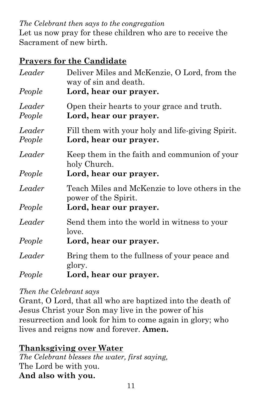*The Celebrant then says to the congregation* Let us now pray for these children who are to receive the Sacrament of new birth.

## **Prayers for the Candidate**

| Leader           | Deliver Miles and McKenzie, O Lord, from the<br>way of sin and death.      |
|------------------|----------------------------------------------------------------------------|
| People           | Lord, hear our prayer.                                                     |
| Leader<br>People | Open their hearts to your grace and truth.<br>Lord, hear our prayer.       |
| Leader<br>People | Fill them with your holy and life-giving Spirit.<br>Lord, hear our prayer. |
| Leader           | Keep them in the faith and communion of your<br>holy Church.               |
| People           | Lord, hear our prayer.                                                     |
| Leader           | Teach Miles and McKenzie to love others in the<br>power of the Spirit.     |
| People           | Lord, hear our prayer.                                                     |
| Leader           | Send them into the world in witness to your<br>love.                       |
| People           | Lord, hear our prayer.                                                     |
| Leader           | Bring them to the fullness of your peace and<br>glory.                     |
| People           | Lord, hear our prayer.                                                     |

#### *Then the Celebrant says*

Grant, O Lord, that all who are baptized into the death of Jesus Christ your Son may live in the power of his resurrection and look for him to come again in glory; who lives and reigns now and forever. **Amen.**

### **Thanksgiving over Water**

*The Celebrant blesses the water, first saying,* The Lord be with you. **And also with you.**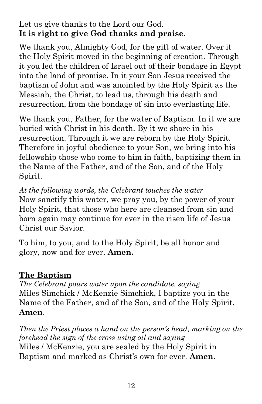#### Let us give thanks to the Lord our God. **It is right to give God thanks and praise.**

We thank you, Almighty God, for the gift of water. Over it the Holy Spirit moved in the beginning of creation. Through it you led the children of Israel out of their bondage in Egypt into the land of promise. In it your Son Jesus received the baptism of John and was anointed by the Holy Spirit as the Messiah, the Christ, to lead us, through his death and resurrection, from the bondage of sin into everlasting life.

We thank you, Father, for the water of Baptism. In it we are buried with Christ in his death. By it we share in his resurrection. Through it we are reborn by the Holy Spirit. Therefore in joyful obedience to your Son, we bring into his fellowship those who come to him in faith, baptizing them in the Name of the Father, and of the Son, and of the Holy Spirit.

*At the following words, the Celebrant touches the water* Now sanctify this water, we pray you, by the power of your Holy Spirit, that those who here are cleansed from sin and born again may continue for ever in the risen life of Jesus Christ our Savior.

To him, to you, and to the Holy Spirit, be all honor and glory, now and for ever. **Amen.**

## **The Baptism**

*The Celebrant pours water upon the candidate, saying*  Miles Simchick / McKenzie Simchick, I baptize you in the Name of the Father, and of the Son, and of the Holy Spirit. **Amen**.

*Then the Priest places a hand on the person's head, marking on the forehead the sign of the cross using oil and saying* Miles / McKenzie, you are sealed by the Holy Spirit in Baptism and marked as Christ's own for ever. **Amen.**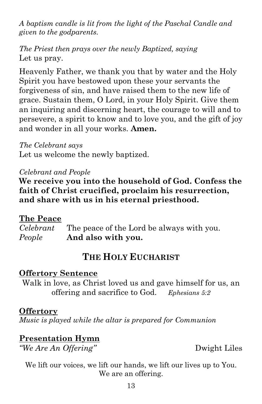*A baptism candle is lit from the light of the Paschal Candle and given to the godparents.*

*The Priest then prays over the newly Baptized, saying* Let us pray.

Heavenly Father, we thank you that by water and the Holy Spirit you have bestowed upon these your servants the forgiveness of sin, and have raised them to the new life of grace. Sustain them, O Lord, in your Holy Spirit. Give them an inquiring and discerning heart, the courage to will and to persevere, a spirit to know and to love you, and the gift of joy and wonder in all your works. **Amen.**

#### *The Celebrant says*

Let us welcome the newly baptized.

#### *Celebrant and People*

**We receive you into the household of God. Confess the faith of Christ crucified, proclaim his resurrection, and share with us in his eternal priesthood.**

#### **The Peace** *Celebrant* The peace of the Lord be always with you. *People* **And also with you.**

## **THE HOLY EUCHARIST**

#### **Offertory Sentence**

Walk in love, as Christ loved us and gave himself for us, an offering and sacrifice to God. *Ephesians 5:2*

#### **Offertory**

*Music is played while the altar is prepared for Communion*

#### **Presentation Hymn**

*"We Are An Offering"* Dwight Liles

We lift our voices, we lift our hands, we lift our lives up to You. We are an offering.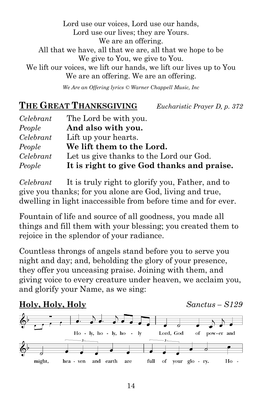Lord use our voices, Lord use our hands, Lord use our lives; they are Yours. We are an offering. All that we have, all that we are, all that we hope to be We give to You, we give to You. We lift our voices, we lift our hands, we lift our lives up to You We are an offering. We are an offering.

*We Are an Offering lyrics © Warner Chappell Music, Inc*

## **THE GREAT THANKSGIVING** *Eucharistic Prayer D, p. 372*

| Celebrant | The Lord be with you.                      |
|-----------|--------------------------------------------|
| People    | And also with you.                         |
| Celebrant | Lift up your hearts.                       |
| People    | We lift them to the Lord.                  |
| Celebrant | Let us give thanks to the Lord our God.    |
| People    | It is right to give God thanks and praise. |

*Celebrant* It is truly right to glorify you, Father, and to give you thanks; for you alone are God, living and true, dwelling in light inaccessible from before time and for ever.

Fountain of life and source of all goodness, you made all things and fill them with your blessing; you created them to rejoice in the splendor of your radiance.

Countless throngs of angels stand before you to serve you night and day; and, beholding the glory of your presence, they offer you unceasing praise. Joining with them, and giving voice to every creature under heaven, we acclaim you, and glorify your Name, as we sing:

## **Holy, Holy, Holy** *Sanctus – S129*

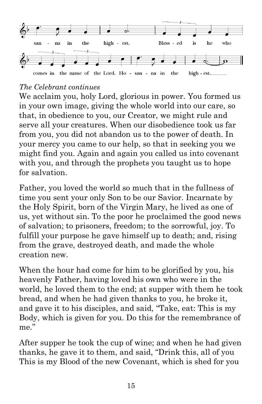

#### *The Celebrant continues*

We acclaim you, holy Lord, glorious in power. You formed us in your own image, giving the whole world into our care, so that, in obedience to you, our Creator, we might rule and serve all your creatures. When our disobedience took us far from you, you did not abandon us to the power of death. In your mercy you came to our help, so that in seeking you we might find you. Again and again you called us into covenant with you, and through the prophets you taught us to hope for salvation.

Father, you loved the world so much that in the fullness of time you sent your only Son to be our Savior. Incarnate by the Holy Spirit, born of the Virgin Mary, he lived as one of us, yet without sin. To the poor he proclaimed the good news of salvation; to prisoners, freedom; to the sorrowful, joy. To fulfill your purpose he gave himself up to death; and, rising from the grave, destroyed death, and made the whole creation new.

When the hour had come for him to be glorified by you, his heavenly Father, having loved his own who were in the world, he loved them to the end; at supper with them he took bread, and when he had given thanks to you, he broke it, and gave it to his disciples, and said, "Take, eat: This is my Body, which is given for you. Do this for the remembrance of me."

After supper he took the cup of wine; and when he had given thanks, he gave it to them, and said, "Drink this, all of you This is my Blood of the new Covenant, which is shed for you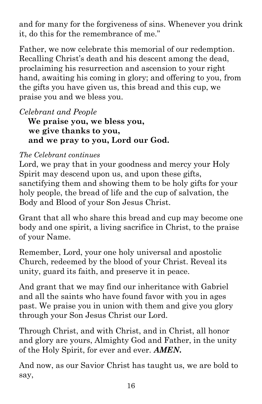and for many for the forgiveness of sins. Whenever you drink it, do this for the remembrance of me."

Father, we now celebrate this memorial of our redemption. Recalling Christ's death and his descent among the dead, proclaiming his resurrection and ascension to your right hand, awaiting his coming in glory; and offering to you, from the gifts you have given us, this bread and this cup, we praise you and we bless you.

*Celebrant and People*

 **We praise you, we bless you, we give thanks to you, and we pray to you, Lord our God.**

#### *The Celebrant continues*

Lord, we pray that in your goodness and mercy your Holy Spirit may descend upon us, and upon these gifts, sanctifying them and showing them to be holy gifts for your holy people, the bread of life and the cup of salvation, the Body and Blood of your Son Jesus Christ.

Grant that all who share this bread and cup may become one body and one spirit, a living sacrifice in Christ, to the praise of your Name.

Remember, Lord, your one holy universal and apostolic Church, redeemed by the blood of your Christ. Reveal its unity, guard its faith, and preserve it in peace.

And grant that we may find our inheritance with Gabriel and all the saints who have found favor with you in ages past. We praise you in union with them and give you glory through your Son Jesus Christ our Lord.

Through Christ, and with Christ, and in Christ, all honor and glory are yours, Almighty God and Father, in the unity of the Holy Spirit, for ever and ever. *AMEN.*

And now, as our Savior Christ has taught us, we are bold to say,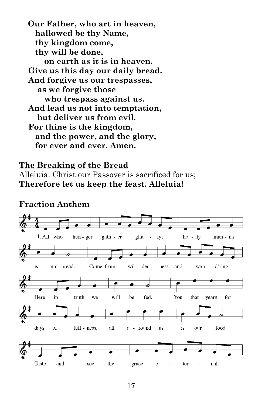**Our Father, who art in heaven, hallowed be thy Name, thy kingdom come, thy will be done, on earth as it is in heaven. Give us this day our daily bread. And forgive us our trespasses, as we forgive those who trespass against us. And lead us not into temptation, but deliver us from evil. For thine is the kingdom, and the power, and the glory, for ever and ever. Amen.** 

#### **The Breaking of the Bread**

Alleluia. Christ our Passover is sacrificed for us; **Therefore let us keep the feast. Alleluia!**

#### **Fraction Anthem**

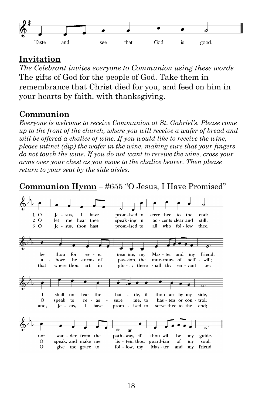

#### **Invitation**

*The Celebrant invites everyone to Communion using these words* The gifts of God for the people of God. Take them in remembrance that Christ died for you, and feed on him in your hearts by faith, with thanksgiving.

### **Communion**

*Everyone is welcome to receive Communion at St. Gabriel's. Please come up to the front of the church, where you will receive a wafer of bread and will be offered a chalice of wine. If you would like to receive the wine, please intinct (dip) the wafer in the wine, making sure that your fingers do not touch the wine. If you do not want to receive the wine, cross your arms over your chest as you move to the chalice bearer. Then please return to your seat by the side aisles.*



**Communion Hymn –** #655 "O Jesus, I Have Promised"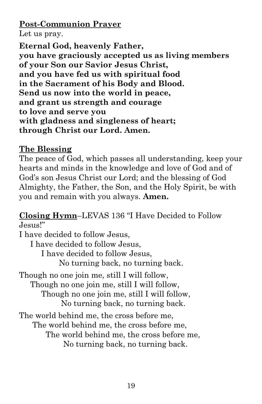## **Post-Communion Prayer**

Let us pray.

**Eternal God, heavenly Father, you have graciously accepted us as living members of your Son our Savior Jesus Christ, and you have fed us with spiritual food in the Sacrament of his Body and Blood. Send us now into the world in peace, and grant us strength and courage to love and serve you with gladness and singleness of heart; through Christ our Lord. Amen.**

## **The Blessing**

The peace of God, which passes all understanding, keep your hearts and minds in the knowledge and love of God and of God's son Jesus Christ our Lord; and the blessing of God Almighty, the Father, the Son, and the Holy Spirit, be with you and remain with you always. **Amen.** 

**Closing Hymn**–LEVAS 136 "I Have Decided to Follow Jesus!"

I have decided to follow Jesus, I have decided to follow Jesus, I have decided to follow Jesus, No turning back, no turning back. Though no one join me, still I will follow, Though no one join me, still I will follow, Though no one join me, still I will follow, No turning back, no turning back. The world behind me, the cross before me, The world behind me, the cross before me, The world behind me, the cross before me, No turning back, no turning back.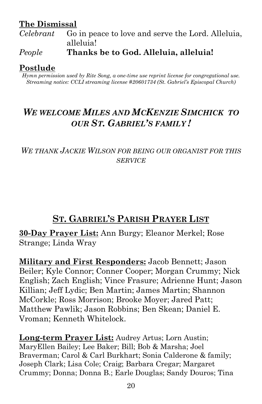### **The Dismissal**

*Celebrant* Go in peace to love and serve the Lord. Alleluia, alleluia!

*People* **Thanks be to God. Alleluia, alleluia!**

#### **Postlude**

*Hymn permission used by Rite Song, a one-time use reprint license for congregational use. Streaming notice: CCLI streaming license #20601734 (St. Gabriel's Episcopal Church)*

## *WE WELCOME MILES AND MCKENZIE SIMCHICK TO OUR ST. GABRIEL'S FAMILY !*

*WE THANK JACKIE WILSON FOR BEING OUR ORGANIST FOR THIS SERVICE*

## **ST. GABRIEL'S PARISH PRAYER LIST**

**30-Day Prayer List:** Ann Burgy; Eleanor Merkel; Rose Strange; Linda Wray

**Military and First Responders:** Jacob Bennett; Jason Beiler; Kyle Connor; Conner Cooper; Morgan Crummy; Nick English; Zach English; Vince Frasure; Adrienne Hunt; Jason Killian; Jeff Lydic; Ben Martin; James Martin; Shannon McCorkle; Ross Morrison; Brooke Moyer; Jared Patt; Matthew Pawlik; Jason Robbins; Ben Skean; Daniel E. Vroman; Kenneth Whitelock.

**Long-term Prayer List:** Audrey Artus; Lorn Austin; MaryEllen Bailey; Lee Baker; Bill; Bob & Marsha; Joel Braverman; Carol & Carl Burkhart; Sonia Calderone & family; Joseph Clark; Lisa Cole; Craig; Barbara Cregar; Margaret Crummy; Donna; Donna B.; Earle Douglas; Sandy Douros; Tina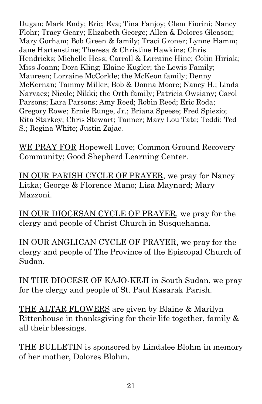Dugan; Mark Endy; Eric; Eva; Tina Fanjoy; Clem Fiorini; Nancy Flohr; Tracy Geary; Elizabeth George; Allen & Dolores Gleason; Mary Gorham; Bob Green & family; Traci Groner; Lynne Hamm; Jane Hartenstine; Theresa & Christine Hawkins; Chris Hendricks; Michelle Hess; Carroll & Lorraine Hine; Colin Hiriak; Miss Joann; Dora Kling; Elaine Kugler; the Lewis Family; Maureen; Lorraine McCorkle; the McKeon family; Denny McKernan; Tammy Miller; Bob & Donna Moore; Nancy H.; Linda Narvaez; Nicole; Nikki; the Orth family; Patricia Owsiany; Carol Parsons; Lara Parsons; Amy Reed; Robin Reed; Eric Roda; Gregory Rowe; Ernie Runge, Jr.; Briana Speese; Fred Spiezio; Rita Starkey; Chris Stewart; Tanner; Mary Lou Tate; Teddi; Ted S.; Regina White; Justin Zajac.

WE PRAY FOR Hopewell Love; Common Ground Recovery Community; Good Shepherd Learning Center.

IN OUR PARISH CYCLE OF PRAYER, we pray for Nancy Litka; George & Florence Mano; Lisa Maynard; Mary Mazzoni.

IN OUR DIOCESAN CYCLE OF PRAYER, we pray for the clergy and people of Christ Church in Susquehanna.

IN OUR ANGLICAN CYCLE OF PRAYER, we pray for the clergy and people of The Province of the Episcopal Church of Sudan.

IN THE DIOCESE OF KAJO-KEJI in South Sudan, we pray for the clergy and people of St. Paul Kasarak Parish.

THE ALTAR FLOWERS are given by Blaine & Marilyn Rittenhouse in thanksgiving for their life together, family & all their blessings.

THE BULLETIN is sponsored by Lindalee Blohm in memory of her mother, Dolores Blohm.